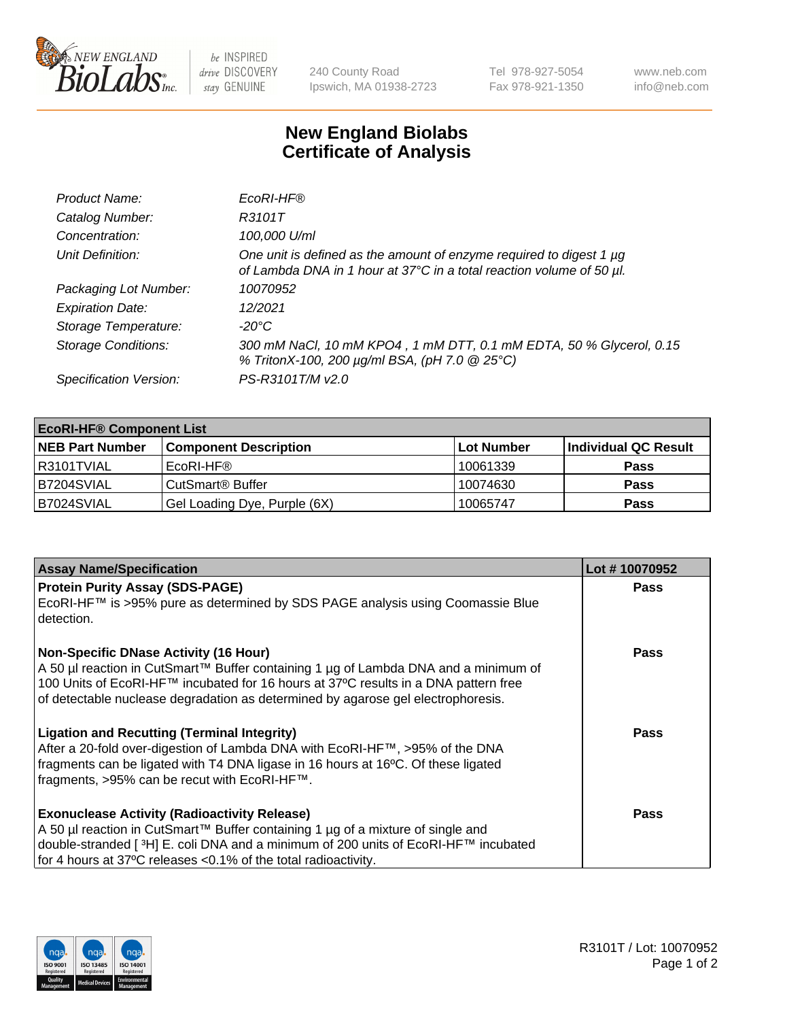

 $be$  INSPIRED drive DISCOVERY stay GENUINE

240 County Road Ipswich, MA 01938-2723 Tel 978-927-5054 Fax 978-921-1350 www.neb.com info@neb.com

## **New England Biolabs Certificate of Analysis**

| Product Name:              | EcoRI-HF®                                                                                                                                   |
|----------------------------|---------------------------------------------------------------------------------------------------------------------------------------------|
| Catalog Number:            | R3101T                                                                                                                                      |
| Concentration:             | 100,000 U/ml                                                                                                                                |
| Unit Definition:           | One unit is defined as the amount of enzyme required to digest 1 µg<br>of Lambda DNA in 1 hour at 37°C in a total reaction volume of 50 µl. |
| Packaging Lot Number:      | 10070952                                                                                                                                    |
| <b>Expiration Date:</b>    | 12/2021                                                                                                                                     |
| Storage Temperature:       | -20°C                                                                                                                                       |
| <b>Storage Conditions:</b> | 300 mM NaCl, 10 mM KPO4, 1 mM DTT, 0.1 mM EDTA, 50 % Glycerol, 0.15<br>% TritonX-100, 200 µg/ml BSA, (pH 7.0 @ 25°C)                        |
| Specification Version:     | PS-R3101T/M v2.0                                                                                                                            |

| <b>EcoRI-HF® Component List</b> |                              |            |                      |  |  |
|---------------------------------|------------------------------|------------|----------------------|--|--|
| <b>NEB Part Number</b>          | <b>Component Description</b> | Lot Number | Individual QC Result |  |  |
| R3101TVIAL                      | EcoRI-HF®                    | 10061339   | <b>Pass</b>          |  |  |
| B7204SVIAL                      | CutSmart <sup>®</sup> Buffer | 10074630   | <b>Pass</b>          |  |  |
| B7024SVIAL                      | Gel Loading Dye, Purple (6X) | 10065747   | <b>Pass</b>          |  |  |

| <b>Assay Name/Specification</b>                                                                                                                                                                                                                                                                                  | Lot #10070952 |
|------------------------------------------------------------------------------------------------------------------------------------------------------------------------------------------------------------------------------------------------------------------------------------------------------------------|---------------|
| <b>Protein Purity Assay (SDS-PAGE)</b><br>EcoRI-HF™ is >95% pure as determined by SDS PAGE analysis using Coomassie Blue<br>detection.                                                                                                                                                                           | <b>Pass</b>   |
| <b>Non-Specific DNase Activity (16 Hour)</b><br>  A 50 µl reaction in CutSmart™ Buffer containing 1 µg of Lambda DNA and a minimum of<br>100 Units of EcoRI-HF™ incubated for 16 hours at 37°C results in a DNA pattern free<br>of detectable nuclease degradation as determined by agarose gel electrophoresis. | Pass          |
| <b>Ligation and Recutting (Terminal Integrity)</b><br>After a 20-fold over-digestion of Lambda DNA with EcoRI-HF™, >95% of the DNA<br>fragments can be ligated with T4 DNA ligase in 16 hours at 16°C. Of these ligated<br>fragments, >95% can be recut with EcoRI-HF™.                                          | Pass          |
| <b>Exonuclease Activity (Radioactivity Release)</b><br>  A 50 µl reaction in CutSmart™ Buffer containing 1 µg of a mixture of single and<br>double-stranded [ <sup>3</sup> H] E. coli DNA and a minimum of 200 units of EcoRI-HF™ incubated<br>for 4 hours at 37°C releases <0.1% of the total radioactivity.    | <b>Pass</b>   |